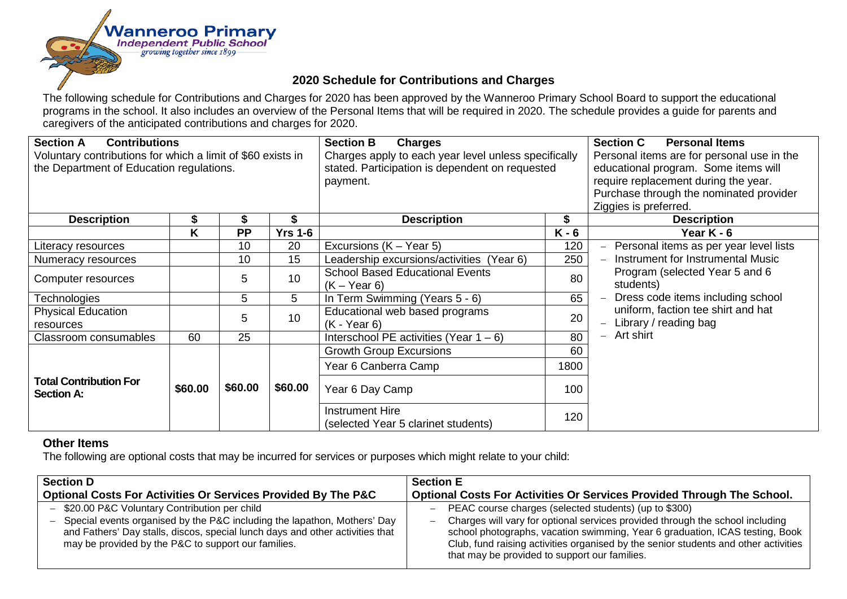

## **2020 Schedule for Contributions and Charges**

The following schedule for Contributions and Charges for 2020 has been approved by the Wanneroo Primary School Board to support the educational programs in the school. It also includes an overview of the Personal Items that will be required in 2020. The schedule provides a guide for parents and caregivers of the anticipated contributions and charges for 2020.

| <b>Section A</b><br><b>Contributions</b><br>Voluntary contributions for which a limit of \$60 exists in<br>the Department of Education regulations. |         |           | <b>Section B</b><br><b>Charges</b><br>Charges apply to each year level unless specifically<br>stated. Participation is dependent on requested<br>payment. |                                                               | <b>Section C</b><br><b>Personal Items</b><br>Personal items are for personal use in the<br>educational program. Some items will<br>require replacement during the year.<br>Purchase through the nominated provider<br>Ziggies is preferred. |                                                                                         |
|-----------------------------------------------------------------------------------------------------------------------------------------------------|---------|-----------|-----------------------------------------------------------------------------------------------------------------------------------------------------------|---------------------------------------------------------------|---------------------------------------------------------------------------------------------------------------------------------------------------------------------------------------------------------------------------------------------|-----------------------------------------------------------------------------------------|
| <b>Description</b>                                                                                                                                  | Ъ       | \$        |                                                                                                                                                           | <b>Description</b>                                            | \$                                                                                                                                                                                                                                          | <b>Description</b>                                                                      |
|                                                                                                                                                     | K       | <b>PP</b> | <b>Yrs 1-6</b>                                                                                                                                            |                                                               | $K - 6$                                                                                                                                                                                                                                     | Year K - 6                                                                              |
| Literacy resources                                                                                                                                  |         | 10        | 20                                                                                                                                                        | Excursions (K – Year 5)                                       | 120                                                                                                                                                                                                                                         | Personal items as per year level lists<br>$-$                                           |
| Numeracy resources                                                                                                                                  |         | 10        | 15                                                                                                                                                        | Leadership excursions/activities (Year 6)                     | 250                                                                                                                                                                                                                                         | Instrument for Instrumental Music                                                       |
| Computer resources                                                                                                                                  |         | 5         | 10                                                                                                                                                        | <b>School Based Educational Events</b><br>$(K - Year 6)$      | 80                                                                                                                                                                                                                                          | Program (selected Year 5 and 6<br>students)                                             |
| Technologies                                                                                                                                        |         | 5         | 5                                                                                                                                                         | In Term Swimming (Years 5 - 6)                                | 65                                                                                                                                                                                                                                          | Dress code items including school<br>$ \,$                                              |
| <b>Physical Education</b><br>resources                                                                                                              |         | 5         | 10                                                                                                                                                        | Educational web based programs<br>$(K - Year 6)$              | 20                                                                                                                                                                                                                                          | uniform, faction tee shirt and hat<br>Library / reading bag<br>$\overline{\phantom{0}}$ |
| Classroom consumables                                                                                                                               | 60      | 25        |                                                                                                                                                           | Interschool PE activities (Year $1 - 6$ )                     | 80                                                                                                                                                                                                                                          | $-$ Art shirt                                                                           |
|                                                                                                                                                     |         |           |                                                                                                                                                           | <b>Growth Group Excursions</b>                                | 60                                                                                                                                                                                                                                          |                                                                                         |
|                                                                                                                                                     |         |           |                                                                                                                                                           | Year 6 Canberra Camp                                          | 1800                                                                                                                                                                                                                                        |                                                                                         |
| <b>Total Contribution For</b><br><b>Section A:</b>                                                                                                  | \$60.00 | \$60.00   | \$60.00                                                                                                                                                   | Year 6 Day Camp                                               | 100                                                                                                                                                                                                                                         |                                                                                         |
|                                                                                                                                                     |         |           |                                                                                                                                                           | <b>Instrument Hire</b><br>(selected Year 5 clarinet students) | 120                                                                                                                                                                                                                                         |                                                                                         |

## **Other Items**

The following are optional costs that may be incurred for services or purposes which might relate to your child:

| <b>Section D</b>                                                                                                                                                                                                                                                     | <b>Section E</b>                                                                                                                                                                                                                                                                                                                                               |
|----------------------------------------------------------------------------------------------------------------------------------------------------------------------------------------------------------------------------------------------------------------------|----------------------------------------------------------------------------------------------------------------------------------------------------------------------------------------------------------------------------------------------------------------------------------------------------------------------------------------------------------------|
| Optional Costs For Activities Or Services Provided By The P&C                                                                                                                                                                                                        | Optional Costs For Activities Or Services Provided Through The School.                                                                                                                                                                                                                                                                                         |
| - \$20.00 P&C Voluntary Contribution per child<br>- Special events organised by the P&C including the lapathon, Mothers' Day<br>and Fathers' Day stalls, discos, special lunch days and other activities that<br>may be provided by the P&C to support our families. | PEAC course charges (selected students) (up to \$300)<br>Charges will vary for optional services provided through the school including<br>school photographs, vacation swimming, Year 6 graduation, ICAS testing, Book<br>Club, fund raising activities organised by the senior students and other activities<br>that may be provided to support our families. |